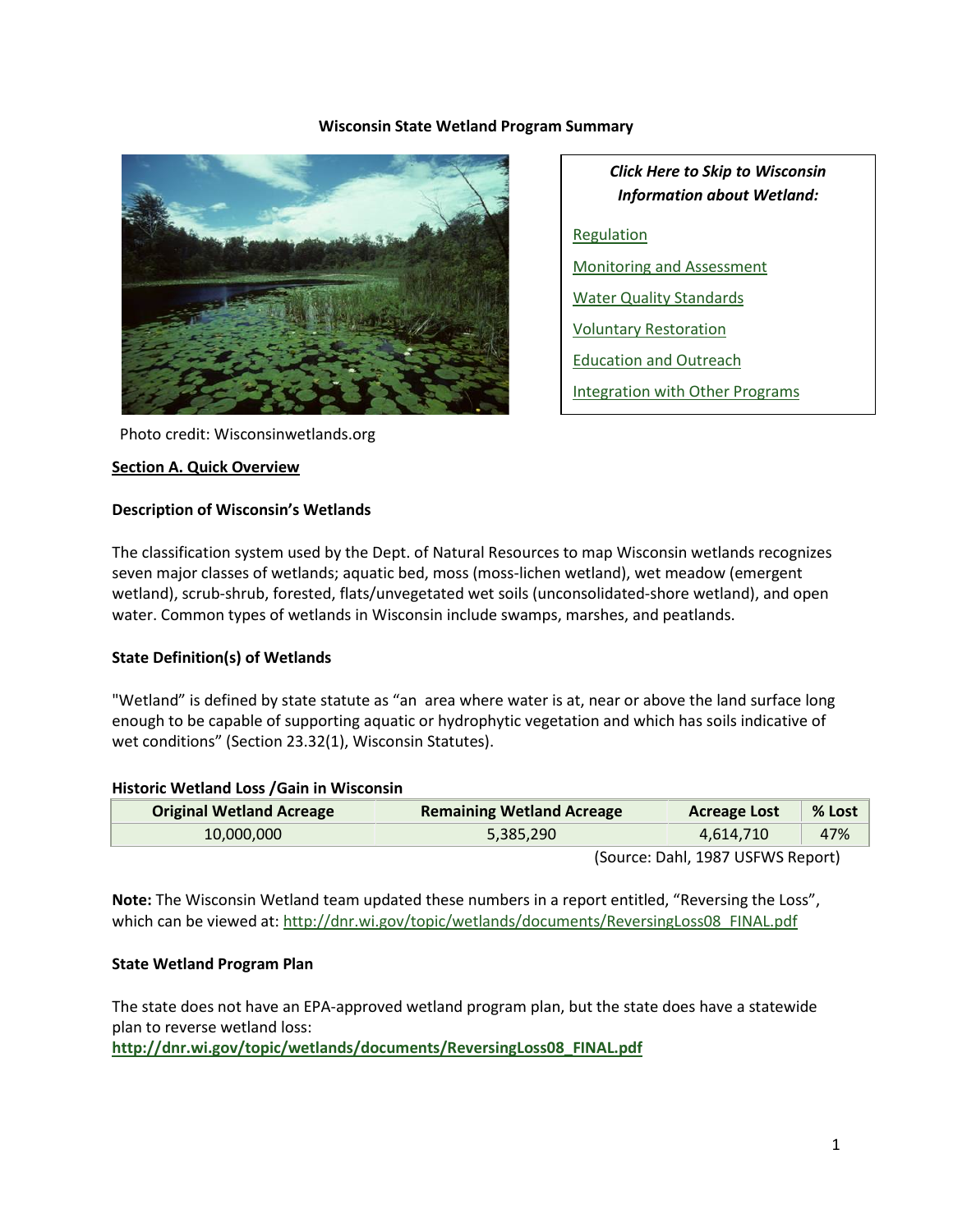#### **Wisconsin State Wetland Program Summary**



*Click Here to Skip to Wisconsin Information about Wetland:* [Regulation](#page-2-0) [Monitoring and Assessment](#page-8-0) [Water Quality Standards](#page-8-1) [Voluntary Restoration](#page-9-0) [Education and Outreach](#page-10-0) [Integration with Other Programs](#page-10-1)

Photo credit: Wisconsinwetlands.org

#### **Section A. Quick Overview**

#### **Description of Wisconsin's Wetlands**

The classification system used by the Dept. of Natural Resources to map Wisconsin wetlands recognizes seven major classes of wetlands; aquatic bed, moss (moss-lichen wetland), wet meadow (emergent wetland), scrub-shrub, forested, flats/unvegetated wet soils (unconsolidated-shore wetland), and open water. Common types of wetlands in Wisconsin include swamps, marshes, and peatlands.

#### **State Definition(s) of Wetlands**

"Wetland" is defined by state statute as "an area where water is at, near or above the land surface long enough to be capable of supporting aquatic or hydrophytic vegetation and which has soils indicative of wet conditions" (Section 23.32(1), Wisconsin Statutes).

#### **Historic Wetland Loss /Gain in Wisconsin**

| <b>Original Wetland Acreage</b> | <b>Remaining Wetland Acreage</b> | <b>Acreage Lost</b>                                                                              | % Lost |
|---------------------------------|----------------------------------|--------------------------------------------------------------------------------------------------|--------|
| 10,000,000                      | 5,385,290                        | 4,614,710                                                                                        | 47%    |
|                                 |                                  | $(C_{\text{out}} \cap \text{sub}   A \cap \text{O}7 \cup \text{C} \cap M \cap B \cap \text{sub}$ |        |

(Source: Dahl, 1987 USFWS Report)

**Note:** The Wisconsin Wetland team updated these numbers in a report entitled, "Reversing the Loss", which can be viewed at: [http://dnr.wi.gov/topic/wetlands/documents/ReversingLoss08\\_FINAL.pdf](http://dnr.wi.gov/topic/wetlands/documents/ReversingLoss08_FINAL.pdf)

### **State Wetland Program Plan**

The state does not have an EPA-approved wetland program plan, but the state does have a statewide plan to reverse wetland loss:

**[http://dnr.wi.gov/topic/wetlands/documents/ReversingLoss08\\_FINAL.pdf](http://dnr.wi.gov/topic/wetlands/documents/ReversingLoss08_FINAL.pdf)**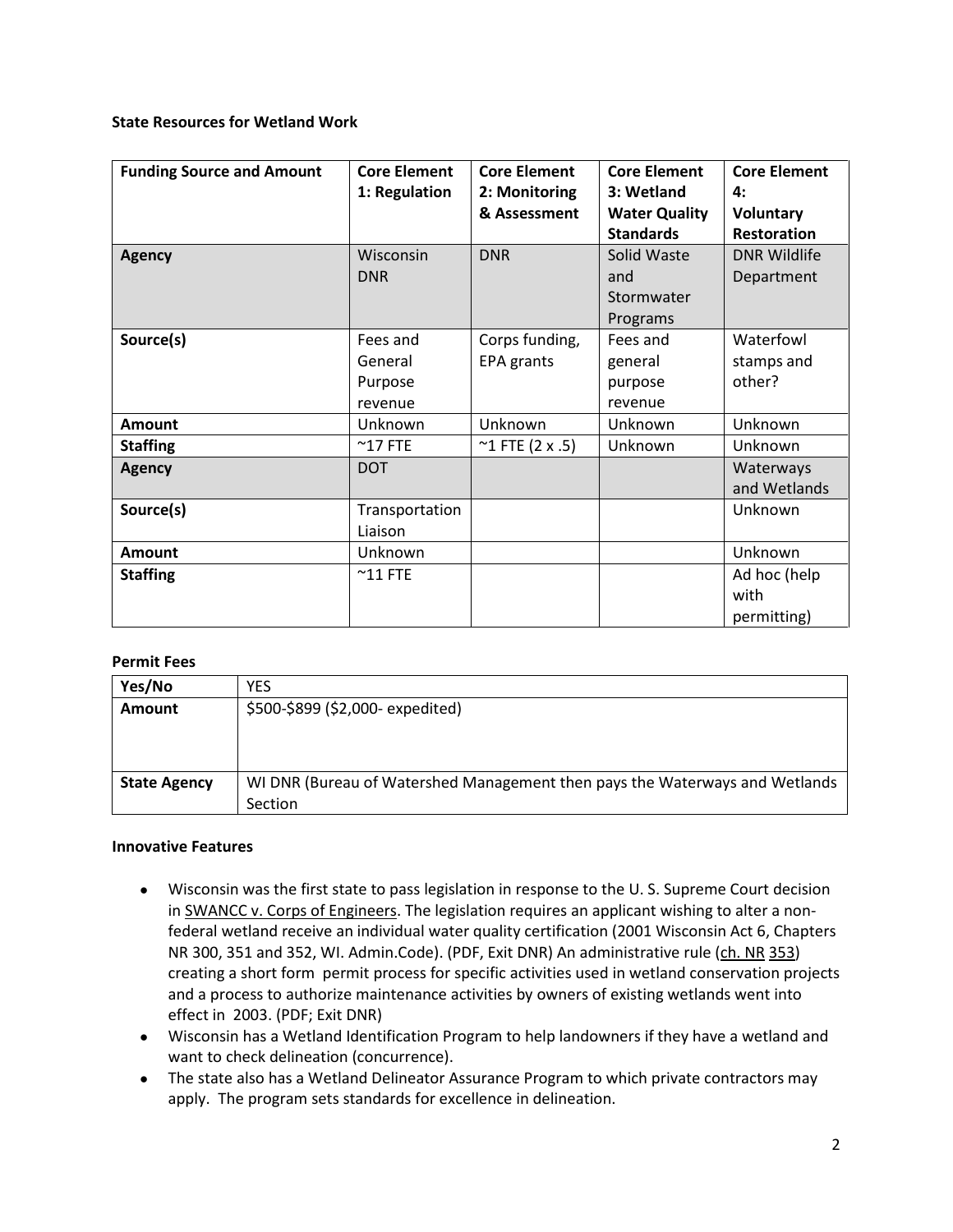#### **State Resources for Wetland Work**

| <b>Funding Source and Amount</b> | <b>Core Element</b> | <b>Core Element</b>       | <b>Core Element</b>  | <b>Core Element</b> |
|----------------------------------|---------------------|---------------------------|----------------------|---------------------|
|                                  | 1: Regulation       | 2: Monitoring             | 3: Wetland           | 4:                  |
|                                  |                     | & Assessment              | <b>Water Quality</b> | Voluntary           |
|                                  |                     |                           | <b>Standards</b>     | Restoration         |
| <b>Agency</b>                    | Wisconsin           | <b>DNR</b>                | Solid Waste          | <b>DNR Wildlife</b> |
|                                  | <b>DNR</b>          |                           | and                  | Department          |
|                                  |                     |                           | Stormwater           |                     |
|                                  |                     |                           | Programs             |                     |
| Source(s)                        | Fees and            | Corps funding,            | Fees and             | Waterfowl           |
|                                  | General             | EPA grants                | general              | stamps and          |
|                                  | Purpose             |                           | purpose              | other?              |
|                                  | revenue             |                           | revenue              |                     |
| Amount                           | Unknown             | Unknown                   | Unknown              | Unknown             |
| <b>Staffing</b>                  | $^{\sim}$ 17 FTE    | $~^{\sim}$ 1 FTE (2 x .5) | Unknown              | Unknown             |
| <b>Agency</b>                    | <b>DOT</b>          |                           |                      | Waterways           |
|                                  |                     |                           |                      | and Wetlands        |
| Source(s)                        | Transportation      |                           |                      | Unknown             |
|                                  | Liaison             |                           |                      |                     |
| <b>Amount</b>                    | Unknown             |                           |                      | Unknown             |
| <b>Staffing</b>                  | $^{\sim}$ 11 FTE    |                           |                      | Ad hoc (help        |
|                                  |                     |                           |                      | with                |
|                                  |                     |                           |                      | permitting)         |

### **Permit Fees**

| Yes/No              | YES                                                                         |
|---------------------|-----------------------------------------------------------------------------|
| Amount              | \$500-\$899 (\$2,000- expedited)                                            |
|                     |                                                                             |
|                     |                                                                             |
| <b>State Agency</b> | WI DNR (Bureau of Watershed Management then pays the Waterways and Wetlands |
|                     | Section                                                                     |

### **Innovative Features**

- Wisconsin was the first state to pass legislation in response to the U. S. Supreme Court decision in SWANCC v. Corps of Engineers. The legislation requires an applicant wishing to alter a nonfederal wetland receive an individual water quality certification (2001 Wisconsin Act 6, Chapters NR 300, 351 and 352, WI. Admin.Code). (PDF, Exit DNR) An administrative rule (ch. NR 353) creating a short form permit process for specific activities used in wetland conservation projects and a process to authorize maintenance activities by owners of existing wetlands went into effect in 2003. (PDF; Exit DNR)
- Wisconsin has a Wetland Identification Program to help landowners if they have a wetland and want to check delineation (concurrence).
- The state also has a Wetland Delineator Assurance Program to which private contractors may apply. The program sets standards for excellence in delineation.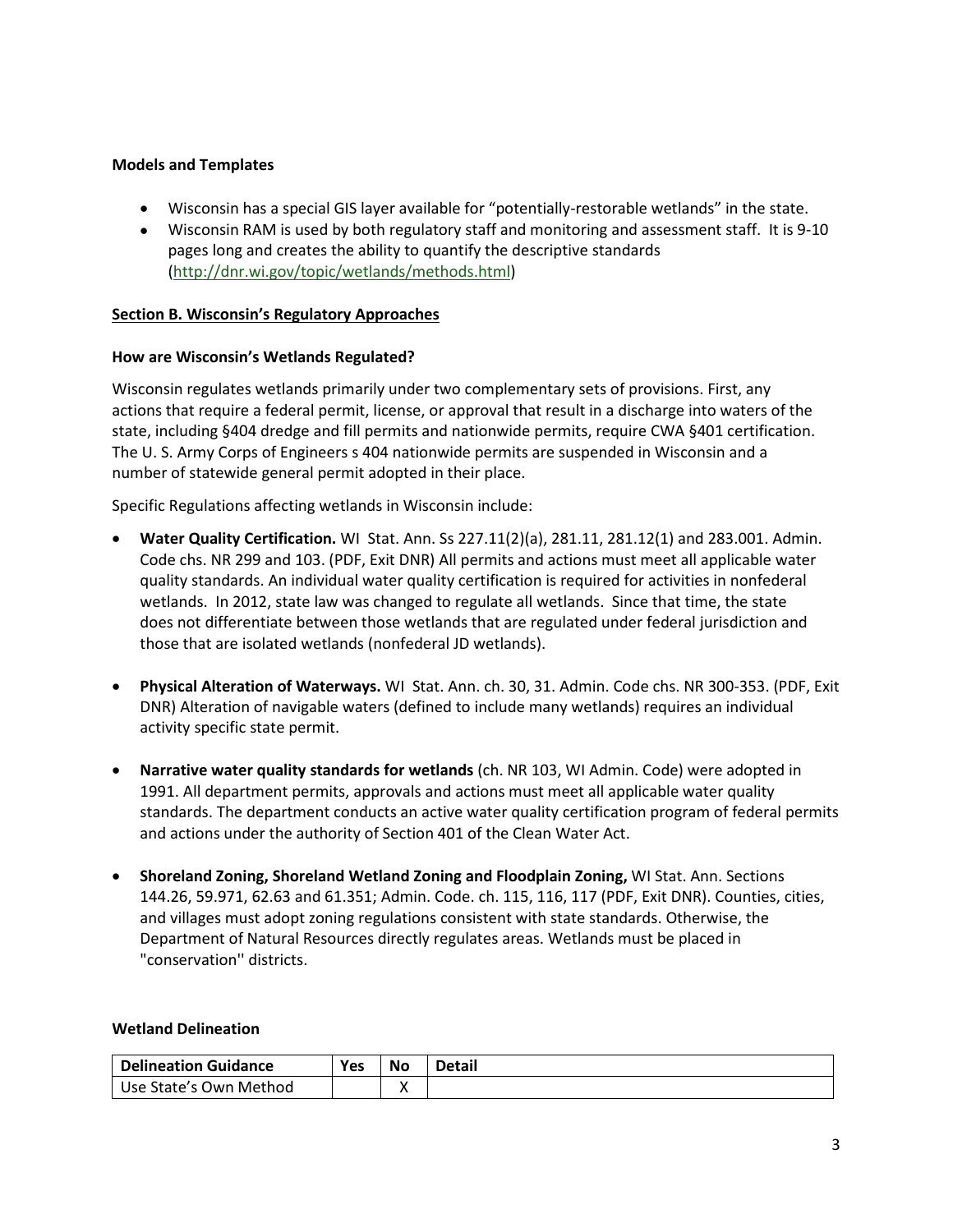### **Models and Templates**

- Wisconsin has a special GIS layer available for "potentially-restorable wetlands" in the state.
- Wisconsin RAM is used by both regulatory staff and monitoring and assessment staff. It is 9-10 pages long and creates the ability to quantify the descriptive standards [\(http://dnr.wi.gov/topic/wetlands/methods.html\)](http://dnr.wi.gov/topic/wetlands/methods.html)

### **Section B. Wisconsin's Regulatory Approaches**

### <span id="page-2-0"></span>**How are Wisconsin's Wetlands Regulated?**

Wisconsin regulates wetlands primarily under two complementary sets of provisions. First, any actions that require a federal permit, license, or approval that result in a discharge into waters of the state, including §404 dredge and fill permits and nationwide permits, require CWA §401 certification. The U. S. Army Corps of Engineers s 404 nationwide permits are suspended in Wisconsin and a number of statewide general permit adopted in their place.

Specific Regulations affecting wetlands in Wisconsin include:

- **Water Quality Certification.** WI Stat. Ann. Ss 227.11(2)(a), 281.11, 281.12(1) and 283.001. Admin. Code chs. NR 299 and 103. (PDF, Exit DNR) All permits and actions must meet all applicable water quality standards. An individual water quality certification is required for activities in nonfederal wetlands. In 2012, state law was changed to regulate all wetlands. Since that time, the state does not differentiate between those wetlands that are regulated under federal jurisdiction and those that are isolated wetlands (nonfederal JD wetlands).
- **Physical Alteration of Waterways.** WI Stat. Ann. ch. 30, 31. Admin. Code chs. NR 300-353. (PDF, Exit DNR) Alteration of navigable waters (defined to include many wetlands) requires an individual activity specific state permit.
- **Narrative water quality standards for wetlands** (ch. NR 103, WI Admin. Code) were adopted in 1991. All department permits, approvals and actions must meet all applicable water quality standards. The department conducts an active water quality certification program of federal permits and actions under the authority of Section 401 of the Clean Water Act.
- **Shoreland Zoning, Shoreland Wetland Zoning and Floodplain Zoning,** WI Stat. Ann. Sections 144.26, 59.971, 62.63 and 61.351; Admin. Code. ch. 115, 116, 117 (PDF, Exit DNR). Counties, cities, and villages must adopt zoning regulations consistent with state standards. Otherwise, the Department of Natural Resources directly regulates areas. Wetlands must be placed in "conservation'' districts.

### **Wetland Delineation**

| <b>Delineation Guidance</b> | <b>Yes</b> | <b>No</b> | Detail |
|-----------------------------|------------|-----------|--------|
| Use State's Own Method      |            |           |        |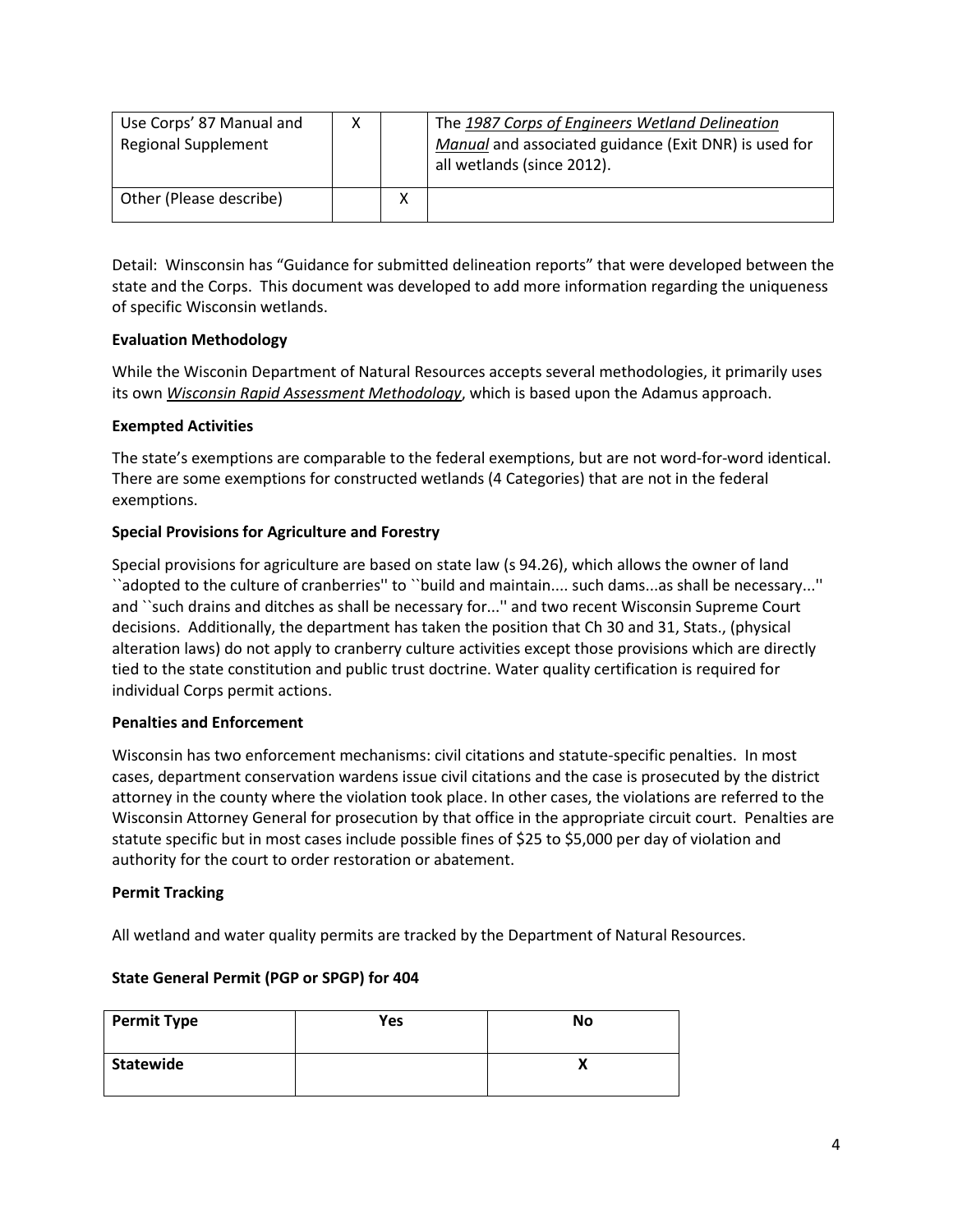| Use Corps' 87 Manual and<br><b>Regional Supplement</b> |   | The 1987 Corps of Engineers Wetland Delineation<br>Manual and associated guidance (Exit DNR) is used for<br>all wetlands (since 2012). |
|--------------------------------------------------------|---|----------------------------------------------------------------------------------------------------------------------------------------|
| Other (Please describe)                                | X |                                                                                                                                        |

Detail: Winsconsin has "Guidance for submitted delineation reports" that were developed between the state and the Corps. This document was developed to add more information regarding the uniqueness of specific Wisconsin wetlands.

### **Evaluation Methodology**

While the Wisconin Department of Natural Resources accepts several methodologies, it primarily uses its own *Wisconsin Rapid Assessment Methodology*, which is based upon the Adamus approach.

### **Exempted Activities**

The state's exemptions are comparable to the federal exemptions, but are not word-for-word identical. There are some exemptions for constructed wetlands (4 Categories) that are not in the federal exemptions.

### **Special Provisions for Agriculture and Forestry**

Special provisions for agriculture are based on state law (s 94.26), which allows the owner of land ``adopted to the culture of cranberries'' to ``build and maintain.... such dams...as shall be necessary...'' and ``such drains and ditches as shall be necessary for...'' and two recent Wisconsin Supreme Court decisions. Additionally, the department has taken the position that Ch 30 and 31, Stats., (physical alteration laws) do not apply to cranberry culture activities except those provisions which are directly tied to the state constitution and public trust doctrine. Water quality certification is required for individual Corps permit actions.

### **Penalties and Enforcement**

Wisconsin has two enforcement mechanisms: civil citations and statute-specific penalties. In most cases, department conservation wardens issue civil citations and the case is prosecuted by the district attorney in the county where the violation took place. In other cases, the violations are referred to the Wisconsin Attorney General for prosecution by that office in the appropriate circuit court. Penalties are statute specific but in most cases include possible fines of \$25 to \$5,000 per day of violation and authority for the court to order restoration or abatement.

### **Permit Tracking**

All wetland and water quality permits are tracked by the Department of Natural Resources.

### **State General Permit (PGP or SPGP) for 404**

| <b>Permit Type</b> | Yes | No |
|--------------------|-----|----|
| Statewide          |     | Λ  |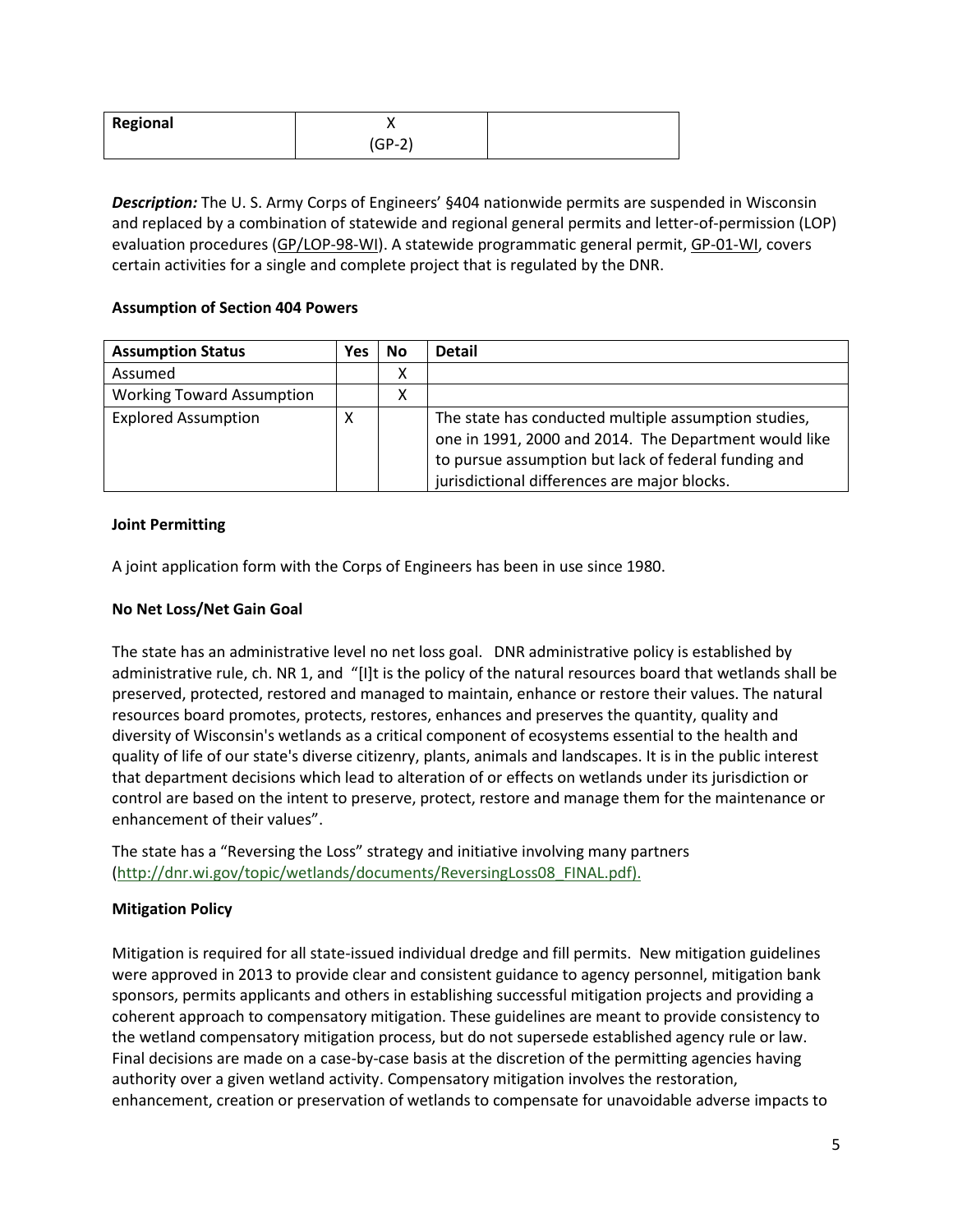| Regional |        |  |
|----------|--------|--|
|          | (GP-2) |  |

*Description:* The U. S. Army Corps of Engineers' §404 nationwide permits are suspended in Wisconsin and replaced by a combination of statewide and regional general permits and letter-of-permission (LOP) evaluation procedures (GP/LOP-98-WI). A statewide programmatic general permit, GP-01-WI, covers certain activities for a single and complete project that is regulated by the DNR.

### **Assumption of Section 404 Powers**

| <b>Assumption Status</b>         | Yes | No | <b>Detail</b>                                                                                                                                                                                                         |
|----------------------------------|-----|----|-----------------------------------------------------------------------------------------------------------------------------------------------------------------------------------------------------------------------|
| Assumed                          |     | Χ  |                                                                                                                                                                                                                       |
| <b>Working Toward Assumption</b> |     | Χ  |                                                                                                                                                                                                                       |
| <b>Explored Assumption</b>       | х   |    | The state has conducted multiple assumption studies,<br>one in 1991, 2000 and 2014. The Department would like<br>to pursue assumption but lack of federal funding and<br>jurisdictional differences are major blocks. |

### **Joint Permitting**

A joint application form with the Corps of Engineers has been in use since 1980.

### **No Net Loss/Net Gain Goal**

The state has an administrative level no net loss goal. DNR administrative policy is established by administrative rule, ch. NR 1, and "[I]t is the policy of the natural resources board that wetlands shall be preserved, protected, restored and managed to maintain, enhance or restore their values. The natural resources board promotes, protects, restores, enhances and preserves the quantity, quality and diversity of Wisconsin's wetlands as a critical component of ecosystems essential to the health and quality of life of our state's diverse citizenry, plants, animals and landscapes. It is in the public interest that department decisions which lead to alteration of or effects on wetlands under its jurisdiction or control are based on the intent to preserve, protect, restore and manage them for the maintenance or enhancement of their values".

The state has a "Reversing the Loss" strategy and initiative involving many partners [\(http://dnr.wi.gov/topic/wetlands/documents/ReversingLoss08\\_FINAL.pdf\)](http://dnr.wi.gov/topic/wetlands/documents/ReversingLoss08_FINAL.pdf).

### **Mitigation Policy**

Mitigation is required for all state-issued individual dredge and fill permits. New mitigation guidelines were approved in 2013 to provide clear and consistent guidance to agency personnel, mitigation bank sponsors, permits applicants and others in establishing successful mitigation projects and providing a coherent approach to compensatory mitigation. These guidelines are meant to provide consistency to the wetland compensatory mitigation process, but do not supersede established agency rule or law. Final decisions are made on a case-by-case basis at the discretion of the permitting agencies having authority over a given wetland activity. Compensatory mitigation involves the restoration, enhancement, creation or preservation of wetlands to compensate for unavoidable adverse impacts to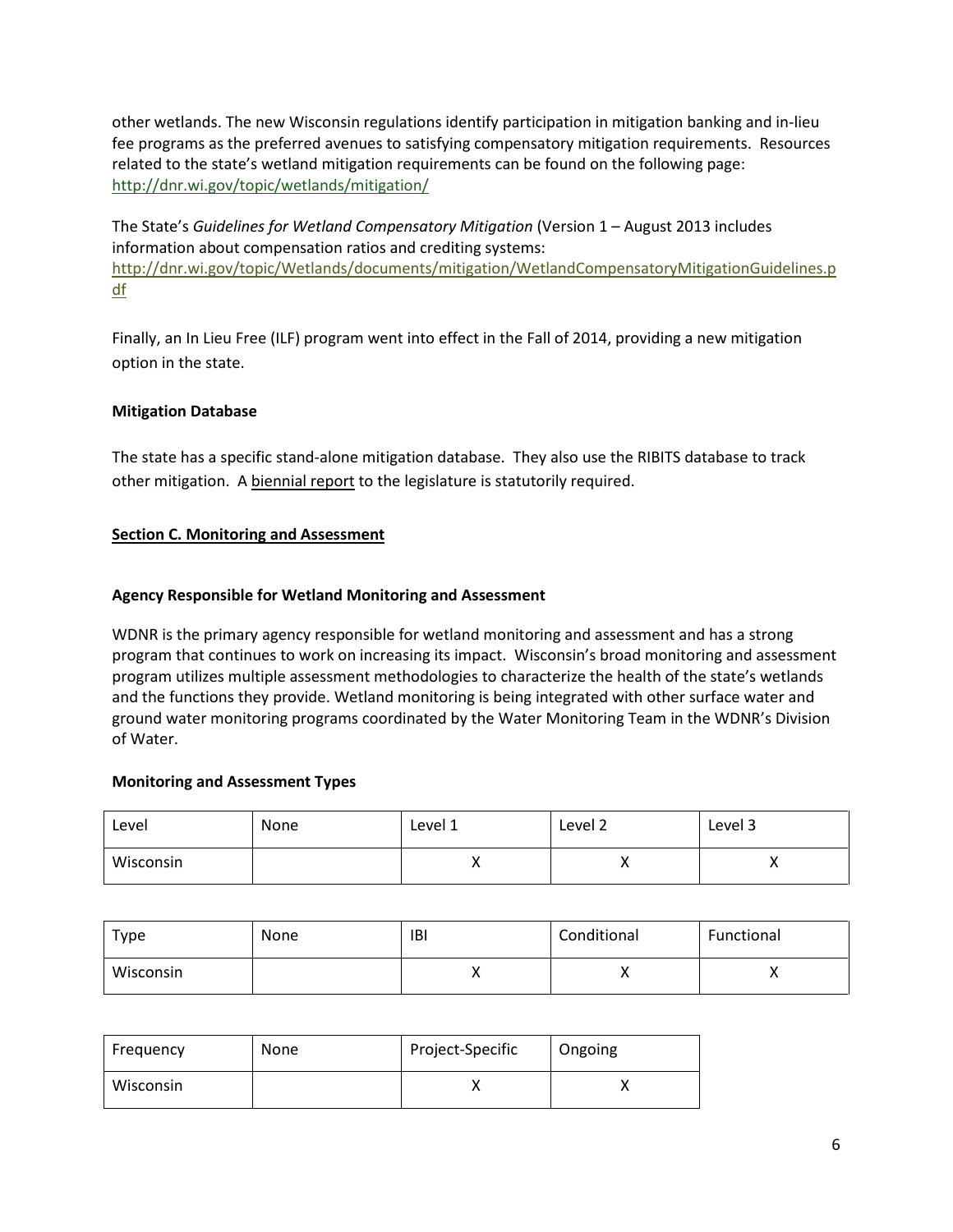other wetlands. The new Wisconsin regulations identify participation in mitigation banking and in-lieu fee programs as the preferred avenues to satisfying compensatory mitigation requirements. Resources related to the state's wetland mitigation requirements can be found on the following page: <http://dnr.wi.gov/topic/wetlands/mitigation/>

The State's *Guidelines for Wetland Compensatory Mitigation* (Version 1 – August 2013 includes information about compensation ratios and crediting systems: [http://dnr.wi.gov/topic/Wetlands/documents/mitigation/WetlandCompensatoryMitigationGuidelines.p](http://dnr.wi.gov/topic/Wetlands/documents/mitigation/WetlandCompensatoryMitigationGuidelines.pdf) [df](http://dnr.wi.gov/topic/Wetlands/documents/mitigation/WetlandCompensatoryMitigationGuidelines.pdf)

Finally, an In Lieu Free (ILF) program went into effect in the Fall of 2014, providing a new mitigation option in the state.

## **Mitigation Database**

The state has a specific stand-alone mitigation database. They also use the RIBITS database to track other mitigation. A biennial report to the legislature is statutorily required.

# **Section C. Monitoring and Assessment**

## **Agency Responsible for Wetland Monitoring and Assessment**

WDNR is the primary agency responsible for wetland monitoring and assessment and has a strong program that continues to work on increasing its impact. Wisconsin's broad monitoring and assessment program utilizes multiple assessment methodologies to characterize the health of the state's wetlands and the functions they provide. Wetland monitoring is being integrated with other surface water and ground water monitoring programs coordinated by the Water Monitoring Team in the WDNR's Division of Water.

## **Monitoring and Assessment Types**

| Level     | None | Level 1  | Level 2 | Level 3 |
|-----------|------|----------|---------|---------|
| Wisconsin |      | $\cdots$ | ↗       | ,,      |

| туре      | None | IBI      | Conditional | Functional |
|-----------|------|----------|-------------|------------|
| Wisconsin |      | $\cdots$ | $\lambda$   | ,,         |

| Frequency | None | Project-Specific | Ongoing |
|-----------|------|------------------|---------|
| Wisconsin |      |                  |         |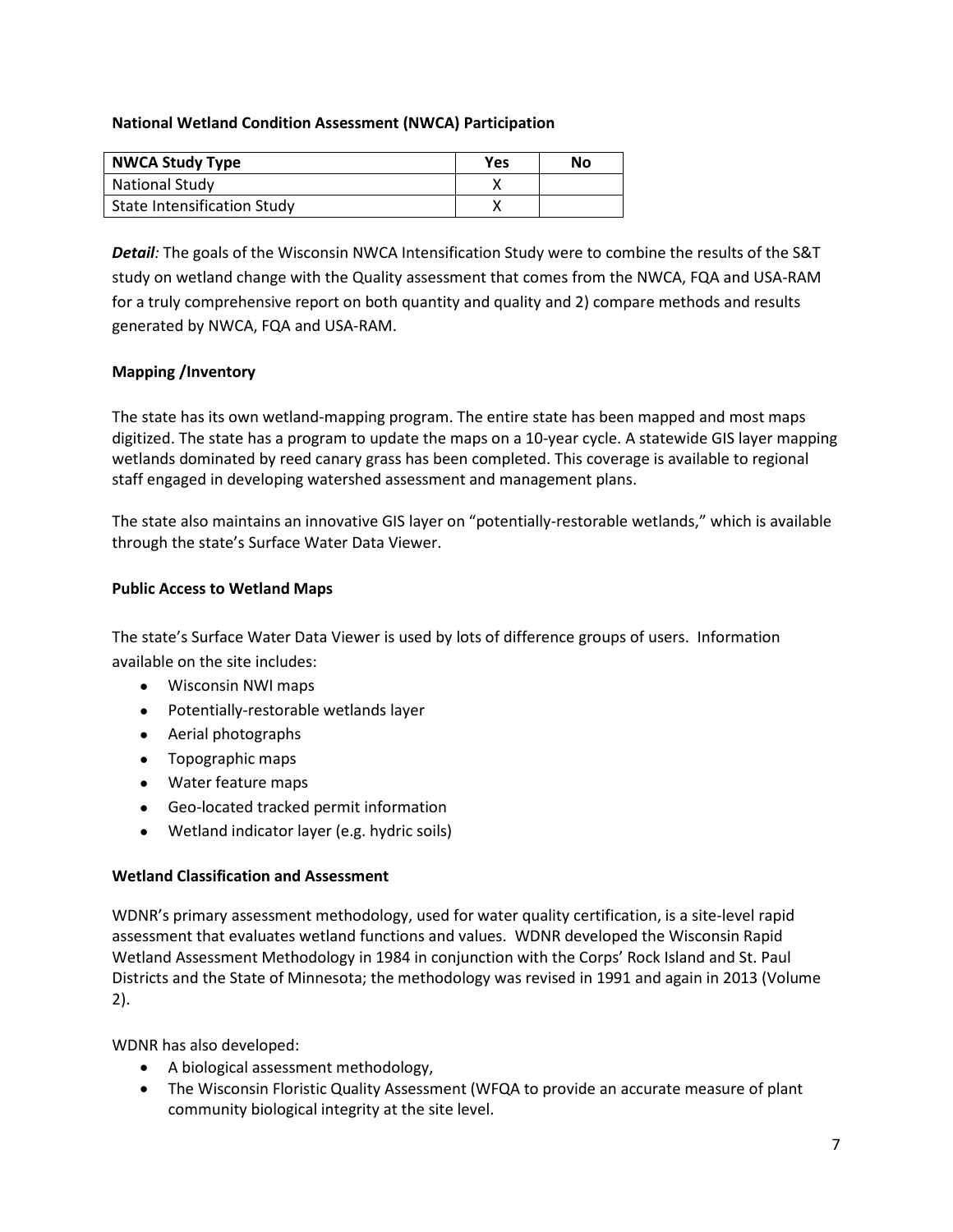### **National Wetland Condition Assessment (NWCA) Participation**

| <b>NWCA Study Type</b>             | <b>Yes</b> | No |
|------------------------------------|------------|----|
| <b>National Study</b>              |            |    |
| <b>State Intensification Study</b> |            |    |

*Detail:* The goals of the Wisconsin NWCA Intensification Study were to combine the results of the S&T study on wetland change with the Quality assessment that comes from the NWCA, FQA and USA-RAM for a truly comprehensive report on both quantity and quality and 2) compare methods and results generated by NWCA, FQA and USA-RAM.

## **Mapping /Inventory**

The state has its own wetland-mapping program. The entire state has been mapped and most maps digitized. The state has a program to update the maps on a 10-year cycle. A statewide GIS layer mapping wetlands dominated by reed canary grass has been completed. This coverage is available to regional staff engaged in developing watershed assessment and management plans.

The state also maintains an innovative GIS layer on "potentially-restorable wetlands," which is available through the state's Surface Water Data Viewer.

### **Public Access to Wetland Maps**

The state's Surface Water Data Viewer is used by lots of difference groups of users. Information available on the site includes:

- Wisconsin NWI maps
- Potentially-restorable wetlands layer
- Aerial photographs
- Topographic maps
- Water feature maps
- Geo-located tracked permit information
- Wetland indicator layer (e.g. hydric soils)

### **Wetland Classification and Assessment**

WDNR's primary assessment methodology, used for water quality certification, is a site-level rapid assessment that evaluates wetland functions and values. WDNR developed the Wisconsin Rapid Wetland Assessment Methodology in 1984 in conjunction with the Corps' Rock Island and St. Paul Districts and the State of Minnesota; the methodology was revised in 1991 and again in 2013 (Volume 2).

WDNR has also developed:

- A biological assessment methodology,
- The Wisconsin Floristic Quality Assessment (WFQA to provide an accurate measure of plant community biological integrity at the site level.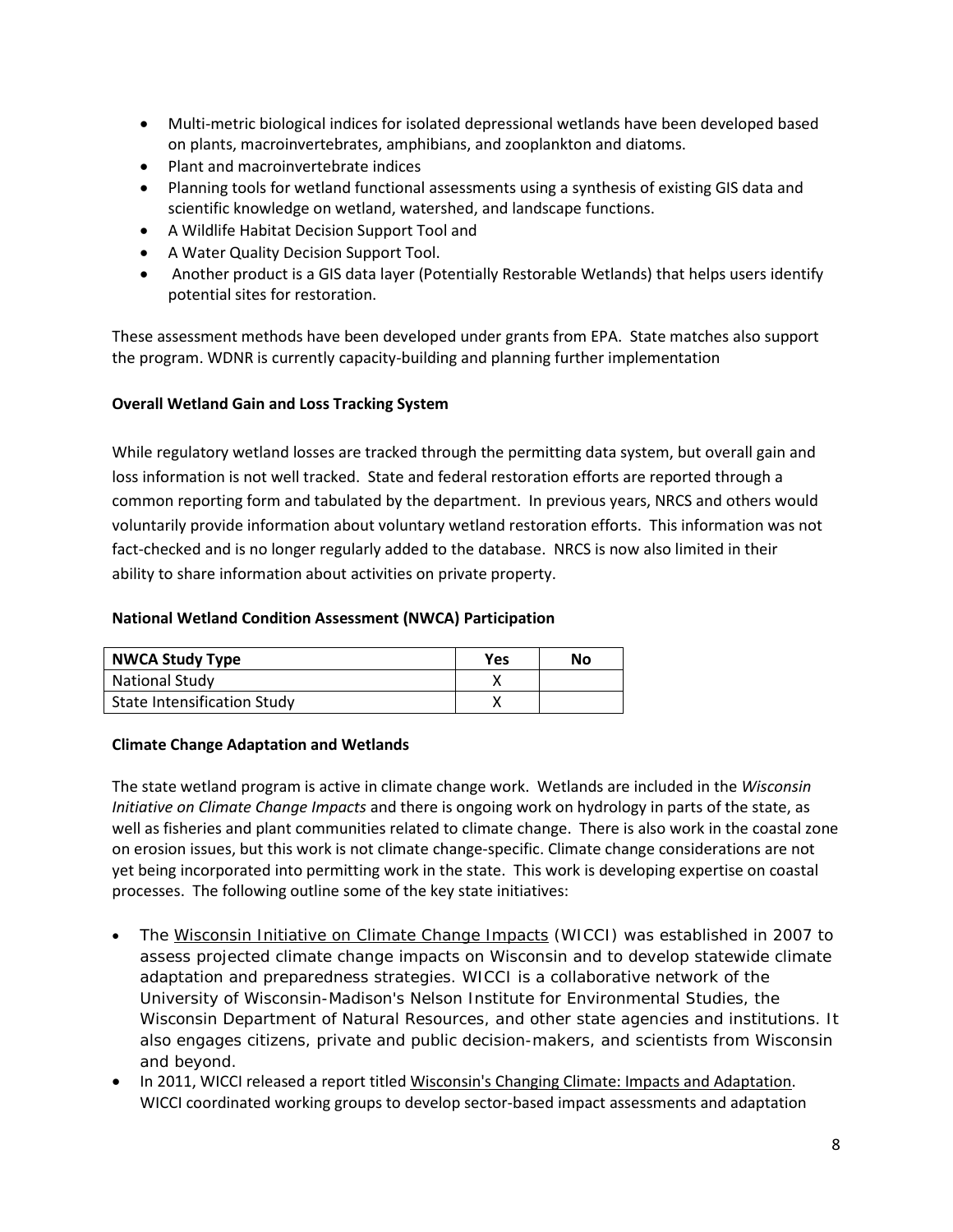- Multi-metric biological indices for isolated depressional wetlands have been developed based on plants, macroinvertebrates, amphibians, and zooplankton and diatoms.
- Plant and macroinvertebrate indices
- Planning tools for wetland functional assessments using a synthesis of existing GIS data and scientific knowledge on wetland, watershed, and landscape functions.
- A Wildlife Habitat Decision Support Tool and
- A Water Quality Decision Support Tool.
- Another product is a GIS data layer (Potentially Restorable Wetlands) that helps users identify potential sites for restoration.

These assessment methods have been developed under grants from EPA. State matches also support the program. WDNR is currently capacity-building and planning further implementation

### **Overall Wetland Gain and Loss Tracking System**

While regulatory wetland losses are tracked through the permitting data system, but overall gain and loss information is not well tracked. State and federal restoration efforts are reported through a common reporting form and tabulated by the department. In previous years, NRCS and others would voluntarily provide information about voluntary wetland restoration efforts. This information was not fact-checked and is no longer regularly added to the database. NRCS is now also limited in their ability to share information about activities on private property.

#### **National Wetland Condition Assessment (NWCA) Participation**

| <b>NWCA Study Type</b>             | Yes | No |
|------------------------------------|-----|----|
| <b>National Study</b>              |     |    |
| <b>State Intensification Study</b> |     |    |

### **Climate Change Adaptation and Wetlands**

The state wetland program is active in climate change work. Wetlands are included in the *Wisconsin Initiative on Climate Change Impacts* and there is ongoing work on hydrology in parts of the state, as well as fisheries and plant communities related to climate change. There is also work in the coastal zone on erosion issues, but this work is not climate change-specific. Climate change considerations are not yet being incorporated into permitting work in the state. This work is developing expertise on coastal processes. The following outline some of the key state initiatives:

- The [Wisconsin Initiative on Climate Change Impacts](http://www.georgetownclimate.org/organizations/wisconsin-initiative-on-climate-change-impacts-wicci) (WICCI) was established in 2007 to assess projected climate change impacts on Wisconsin and to develop statewide climate adaptation and preparedness strategies. WICCI is a collaborative network of the University of Wisconsin-Madison's Nelson Institute for Environmental Studies, the Wisconsin Department of Natural Resources, and other state agencies and institutions. It also engages citizens, private and public decision-makers, and scientists from Wisconsin and beyond.
- In 2011, WICCI released a report title[d Wisconsin's Changing Climate: Impacts and Adaptation.](http://www.georgetownclimate.org/resources/wisconsins-changing-climate-impacts-and-adaptation) WICCI coordinated working groups to develop sector-based impact assessments and adaptation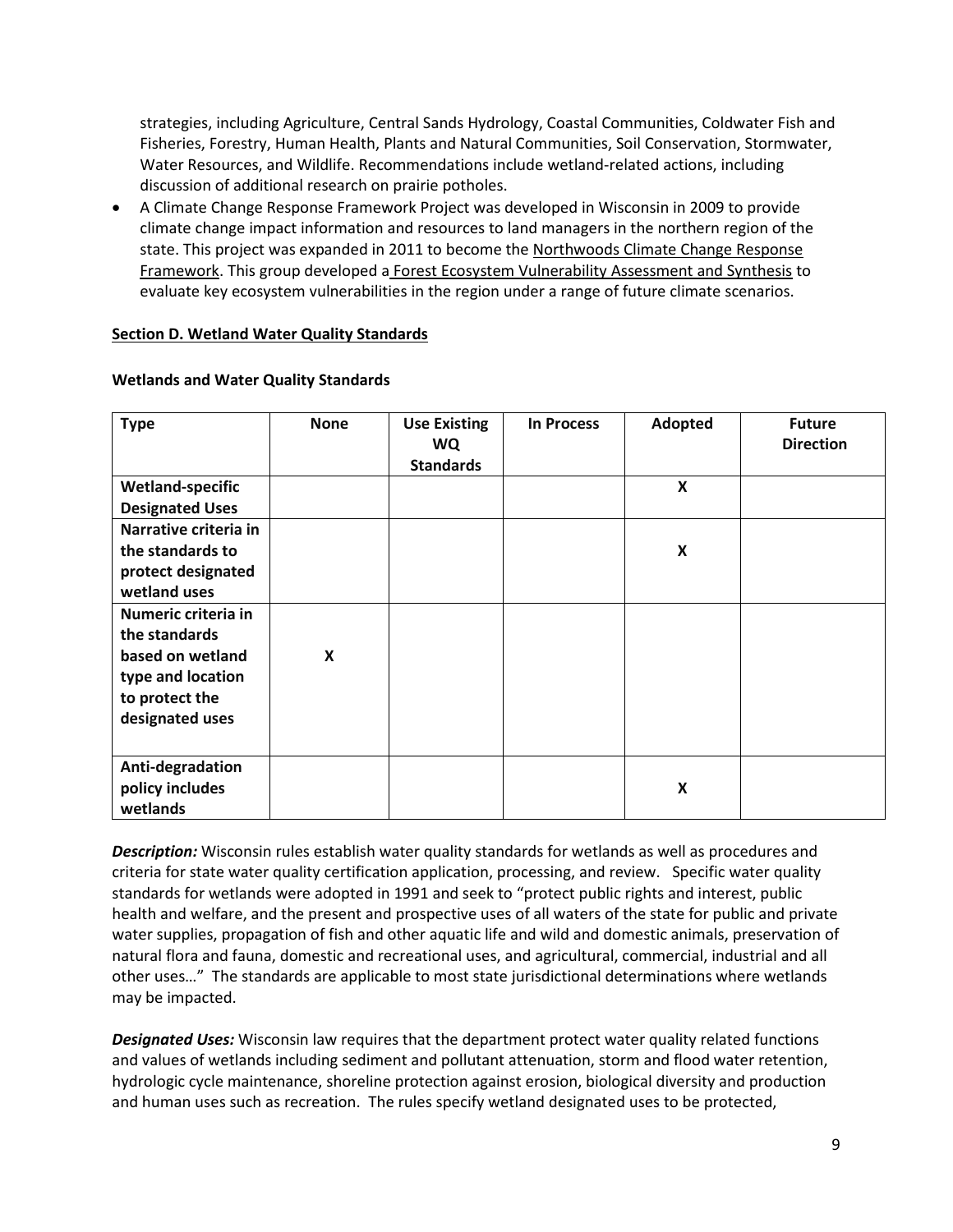strategies, including Agriculture, Central Sands Hydrology, Coastal Communities, Coldwater Fish and Fisheries, Forestry, Human Health, Plants and Natural Communities, Soil Conservation, Stormwater, Water Resources, and Wildlife. Recommendations include wetland-related actions, including discussion of additional research on prairie potholes.

• A Climate Change Response Framework Project was developed in Wisconsin in 2009 to provide climate change impact information and resources to land managers in the northern region of the state. This project was expanded in 2011 to become the [Northwoods Climate Change Response](http://www.nrs.fs.fed.us/niacs/climate/northwoods/)  **[Framework.](http://www.nrs.fs.fed.us/niacs/climate/northwoods/)** This group developed a **[Forest Ecosystem Vulnerability Assessment and Synthesis](http://www.nrs.fs.fed.us/pubs/38255) to** evaluate key ecosystem vulnerabilities in the region under a range of future climate scenarios.

### <span id="page-8-1"></span>**Section D. Wetland Water Quality Standards**

| <b>Type</b>             | <b>None</b> | <b>Use Existing</b><br><b>WQ</b><br><b>Standards</b> | <b>In Process</b> | Adopted                   | <b>Future</b><br><b>Direction</b> |
|-------------------------|-------------|------------------------------------------------------|-------------------|---------------------------|-----------------------------------|
| <b>Wetland-specific</b> |             |                                                      |                   | $\boldsymbol{\mathsf{X}}$ |                                   |
| <b>Designated Uses</b>  |             |                                                      |                   |                           |                                   |
| Narrative criteria in   |             |                                                      |                   |                           |                                   |
| the standards to        |             |                                                      |                   | X                         |                                   |
| protect designated      |             |                                                      |                   |                           |                                   |
| wetland uses            |             |                                                      |                   |                           |                                   |
| Numeric criteria in     |             |                                                      |                   |                           |                                   |
| the standards           |             |                                                      |                   |                           |                                   |
| based on wetland        | X           |                                                      |                   |                           |                                   |
| type and location       |             |                                                      |                   |                           |                                   |
| to protect the          |             |                                                      |                   |                           |                                   |
| designated uses         |             |                                                      |                   |                           |                                   |
|                         |             |                                                      |                   |                           |                                   |
| Anti-degradation        |             |                                                      |                   |                           |                                   |
| policy includes         |             |                                                      |                   | X                         |                                   |
| wetlands                |             |                                                      |                   |                           |                                   |

### **Wetlands and Water Quality Standards**

<span id="page-8-0"></span>*Description:* Wisconsin rules establish water quality standards for wetlands as well as procedures and criteria for state water quality certification application, processing, and review. Specific water quality standards for wetlands were adopted in 1991 and seek to "protect public rights and interest, public health and welfare, and the present and prospective uses of all waters of the state for public and private water supplies, propagation of fish and other aquatic life and wild and domestic animals, preservation of natural flora and fauna, domestic and recreational uses, and agricultural, commercial, industrial and all other uses…" The standards are applicable to most state jurisdictional determinations where wetlands may be impacted.

*Designated Uses:* Wisconsin law requires that the department protect water quality related functions and values of wetlands including sediment and pollutant attenuation, storm and flood water retention, hydrologic cycle maintenance, shoreline protection against erosion, biological diversity and production and human uses such as recreation. The rules specify wetland designated uses to be protected,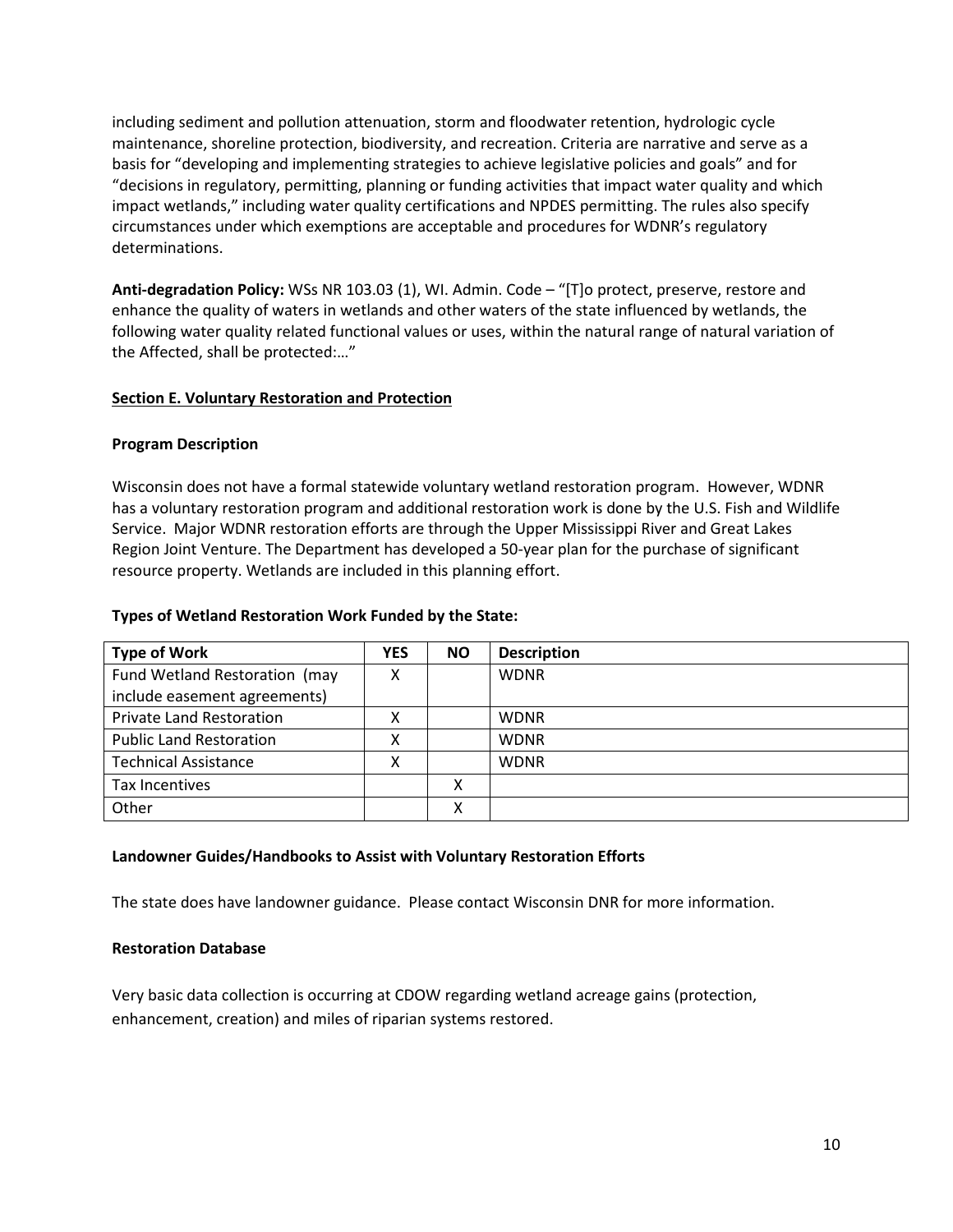including sediment and pollution attenuation, storm and floodwater retention, hydrologic cycle maintenance, shoreline protection, biodiversity, and recreation. Criteria are narrative and serve as a basis for "developing and implementing strategies to achieve legislative policies and goals" and for "decisions in regulatory, permitting, planning or funding activities that impact water quality and which impact wetlands," including water quality certifications and NPDES permitting. The rules also specify circumstances under which exemptions are acceptable and procedures for WDNR's regulatory determinations.

**Anti-degradation Policy:** WSs NR 103.03 (1), WI. Admin. Code – "[T]o protect, preserve, restore and enhance the quality of waters in wetlands and other waters of the state influenced by wetlands, the following water quality related functional values or uses, within the natural range of natural variation of the Affected, shall be protected:…"

### <span id="page-9-0"></span>**Section E. Voluntary Restoration and Protection**

### **Program Description**

Wisconsin does not have a formal statewide voluntary wetland restoration program. However, WDNR has a voluntary restoration program and additional restoration work is done by the U.S. Fish and Wildlife Service. Major WDNR restoration efforts are through the Upper Mississippi River and Great Lakes Region Joint Venture. The Department has developed a 50-year plan for the purchase of significant resource property. Wetlands are included in this planning effort.

### **Types of Wetland Restoration Work Funded by the State:**

| <b>Type of Work</b>             | <b>YES</b> | ΝO           | <b>Description</b> |
|---------------------------------|------------|--------------|--------------------|
| Fund Wetland Restoration (may   |            |              | <b>WDNR</b>        |
| include easement agreements)    |            |              |                    |
| <b>Private Land Restoration</b> |            |              | <b>WDNR</b>        |
| <b>Public Land Restoration</b>  |            |              | <b>WDNR</b>        |
| <b>Technical Assistance</b>     |            |              | <b>WDNR</b>        |
| Tax Incentives                  |            | v            |                    |
| Other                           |            | $\checkmark$ |                    |

### **Landowner Guides/Handbooks to Assist with Voluntary Restoration Efforts**

The state does have landowner guidance. Please contact Wisconsin DNR for more information.

### **Restoration Database**

Very basic data collection is occurring at CDOW regarding wetland acreage gains (protection, enhancement, creation) and miles of riparian systems restored.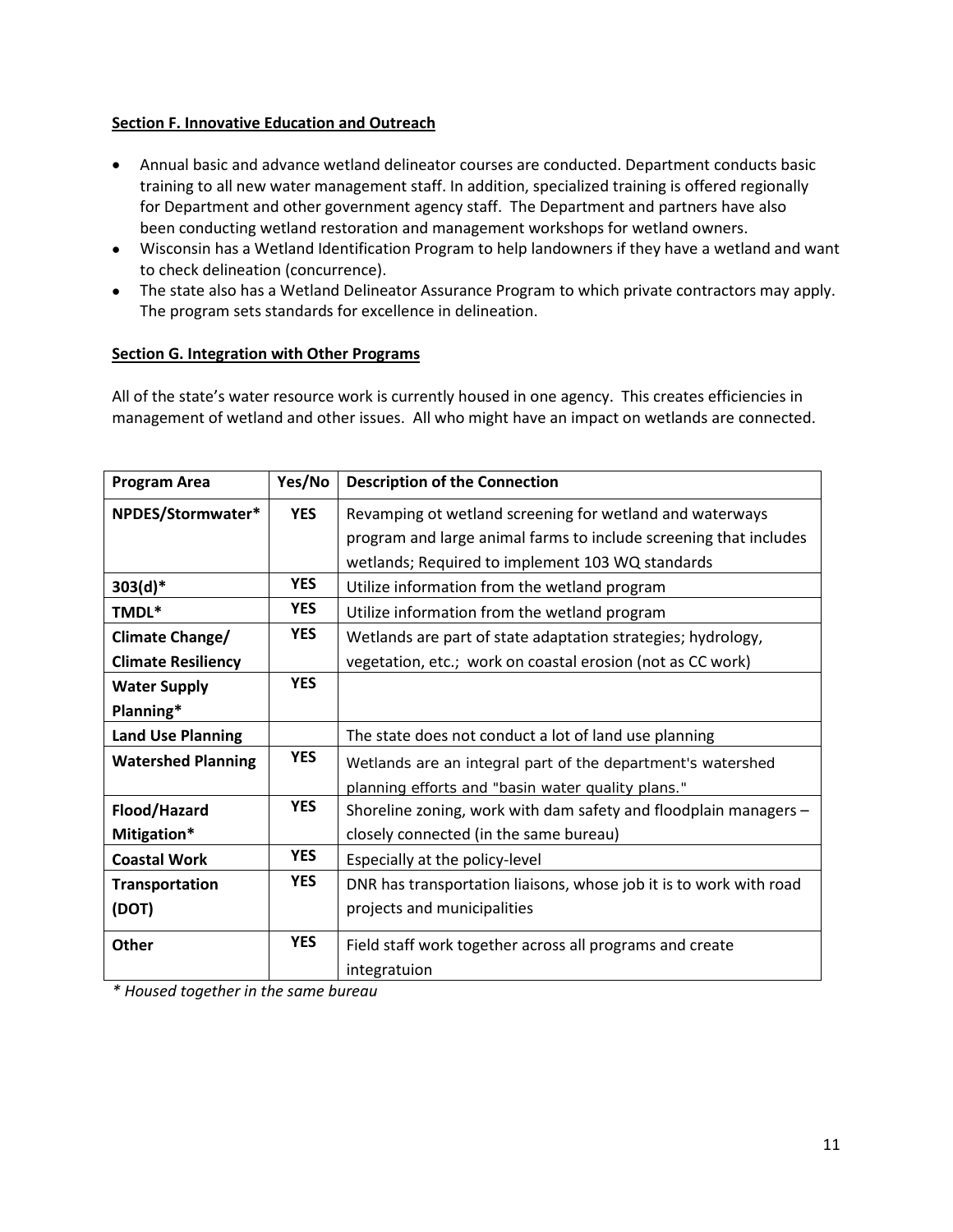### <span id="page-10-0"></span>**Section F. Innovative Education and Outreach**

- Annual basic and advance wetland delineator courses are conducted. Department conducts basic training to all new water management staff. In addition, specialized training is offered regionally for Department and other government agency staff. The Department and partners have also been conducting wetland restoration and management workshops for wetland owners.
- Wisconsin has a Wetland Identification Program to help landowners if they have a wetland and want to check delineation (concurrence).
- The state also has a Wetland Delineator Assurance Program to which private contractors may apply. The program sets standards for excellence in delineation.

## <span id="page-10-1"></span>**Section G. Integration with Other Programs**

All of the state's water resource work is currently housed in one agency. This creates efficiencies in management of wetland and other issues. All who might have an impact on wetlands are connected.

| <b>Program Area</b>       | Yes/No     | <b>Description of the Connection</b>                               |  |  |
|---------------------------|------------|--------------------------------------------------------------------|--|--|
| NPDES/Stormwater*         | <b>YES</b> | Revamping ot wetland screening for wetland and waterways           |  |  |
|                           |            | program and large animal farms to include screening that includes  |  |  |
|                           |            | wetlands; Required to implement 103 WQ standards                   |  |  |
| $303(d)*$                 | <b>YES</b> | Utilize information from the wetland program                       |  |  |
| TMDL*                     | <b>YES</b> | Utilize information from the wetland program                       |  |  |
| Climate Change/           | <b>YES</b> | Wetlands are part of state adaptation strategies; hydrology,       |  |  |
| <b>Climate Resiliency</b> |            | vegetation, etc.; work on coastal erosion (not as CC work)         |  |  |
| <b>Water Supply</b>       | <b>YES</b> |                                                                    |  |  |
| Planning*                 |            |                                                                    |  |  |
| <b>Land Use Planning</b>  |            | The state does not conduct a lot of land use planning              |  |  |
| <b>Watershed Planning</b> | <b>YES</b> | Wetlands are an integral part of the department's watershed        |  |  |
|                           |            | planning efforts and "basin water quality plans."                  |  |  |
| Flood/Hazard              | <b>YES</b> | Shoreline zoning, work with dam safety and floodplain managers -   |  |  |
| Mitigation*               |            | closely connected (in the same bureau)                             |  |  |
| <b>Coastal Work</b>       | <b>YES</b> | Especially at the policy-level                                     |  |  |
| <b>Transportation</b>     | <b>YES</b> | DNR has transportation liaisons, whose job it is to work with road |  |  |
| (DOT)                     |            | projects and municipalities                                        |  |  |
| <b>Other</b>              | <b>YES</b> | Field staff work together across all programs and create           |  |  |
|                           |            | integratuion                                                       |  |  |

*\* Housed together in the same bureau*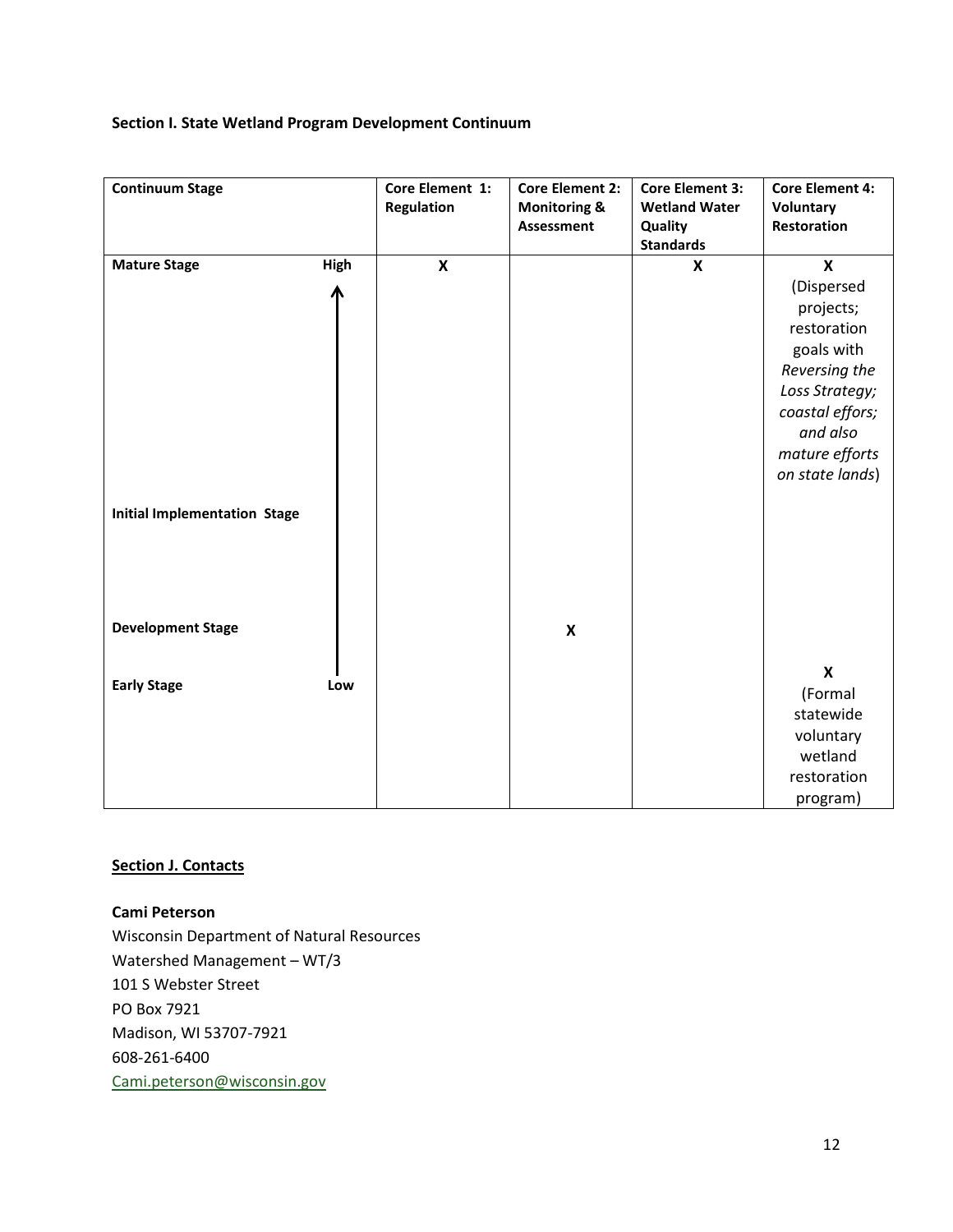# **Section I. State Wetland Program Development Continuum**

| <b>Continuum Stage</b>              |      | Core Element 1:<br>Regulation | <b>Core Element 2:</b><br><b>Monitoring &amp;</b><br>Assessment | <b>Core Element 3:</b><br><b>Wetland Water</b><br>Quality<br><b>Standards</b> | <b>Core Element 4:</b><br>Voluntary<br><b>Restoration</b>                                                  |
|-------------------------------------|------|-------------------------------|-----------------------------------------------------------------|-------------------------------------------------------------------------------|------------------------------------------------------------------------------------------------------------|
| <b>Mature Stage</b>                 | High | $\pmb{\mathsf{X}}$            |                                                                 | X                                                                             | $\mathbf x$                                                                                                |
|                                     |      |                               |                                                                 |                                                                               | (Dispersed<br>projects;<br>restoration<br>goals with<br>Reversing the<br>Loss Strategy;<br>coastal effors; |
| <b>Initial Implementation Stage</b> |      |                               |                                                                 |                                                                               | and also<br>mature efforts<br>on state lands)                                                              |
| <b>Development Stage</b>            |      |                               | $\pmb{\mathsf{X}}$                                              |                                                                               |                                                                                                            |
| <b>Early Stage</b>                  | Low  |                               |                                                                 |                                                                               | $\boldsymbol{\mathsf{x}}$<br>(Formal<br>statewide<br>voluntary<br>wetland<br>restoration<br>program)       |

### **Section J. Contacts**

**Cami Peterson** Wisconsin Department of Natural Resources Watershed Management – WT/3 101 S Webster Street PO Box 7921 Madison, WI 53707-7921 608-261-6400 [Cami.peterson@wisconsin.gov](mailto:Cami.peterson@wisconsin.gov)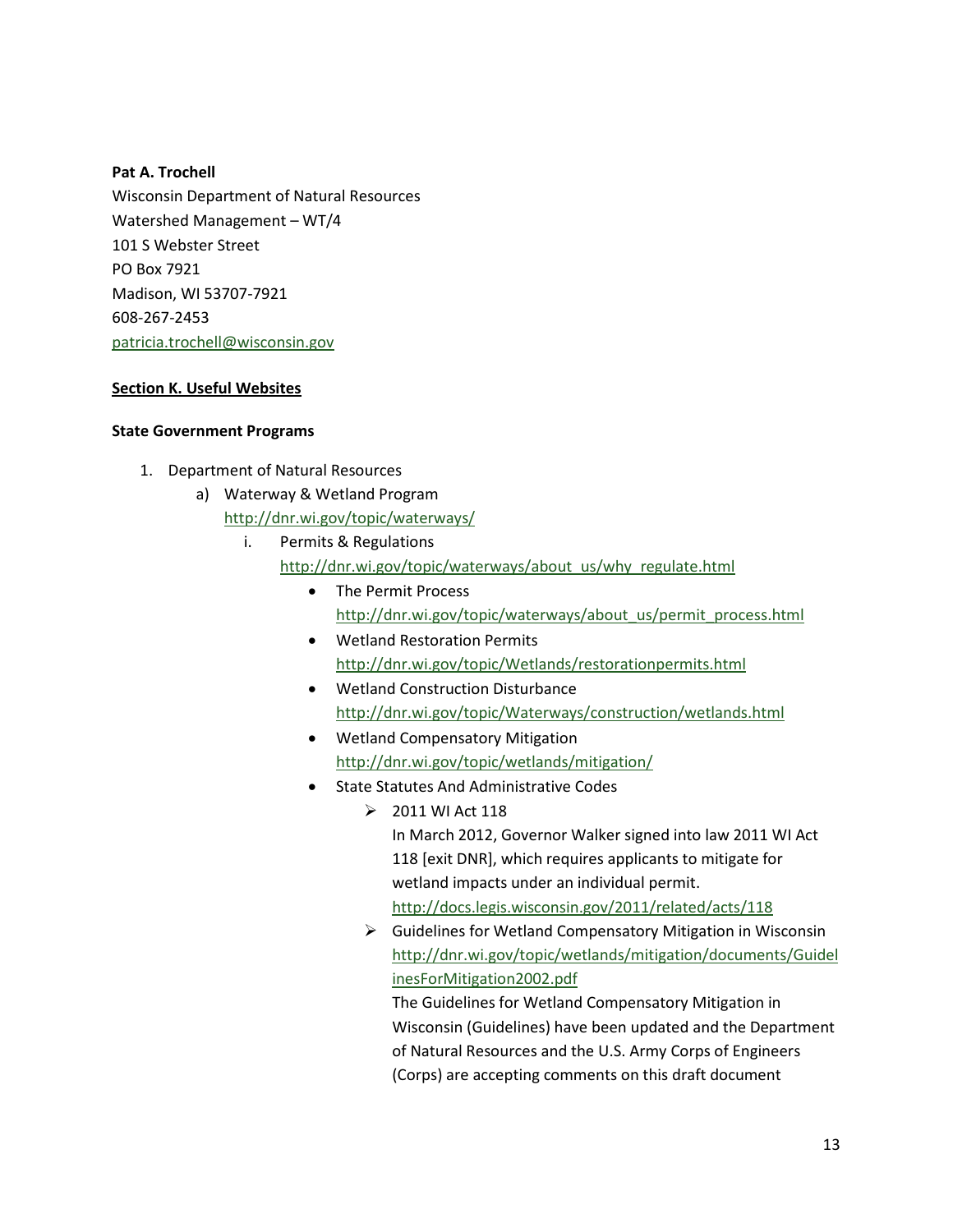### **Pat A. Trochell**

Wisconsin Department of Natural Resources Watershed Management – WT/4 101 S Webster Street PO Box 7921 Madison, WI 53707-7921 608-267-2453 [patricia.trochell@wisconsin.gov](mailto:patricia.trochell@wisconsin.gov)

### **Section K. Useful Websites**

### **State Government Programs**

- 1. Department of Natural Resources
	- a) Waterway & Wetland Program <http://dnr.wi.gov/topic/waterways/>
		- i. Permits & Regulations
			- [http://dnr.wi.gov/topic/waterways/about\\_us/why\\_regulate.html](http://dnr.wi.gov/topic/waterways/about_us/why_regulate.html)
				- The Permit Process [http://dnr.wi.gov/topic/waterways/about\\_us/permit\\_process.html](http://dnr.wi.gov/topic/waterways/about_us/permit_process.html)
				- Wetland Restoration Permits <http://dnr.wi.gov/topic/Wetlands/restorationpermits.html>
				- Wetland Construction Disturbance <http://dnr.wi.gov/topic/Waterways/construction/wetlands.html>
				- Wetland Compensatory Mitigation <http://dnr.wi.gov/topic/wetlands/mitigation/>
				- State Statutes And Administrative Codes
					- $\geq 2011$  WI Act 118 In March 2012, Governor Walker signed into law 2011 WI Act 118 [exit DNR], which requires applicants to mitigate for wetland impacts under an individual permit. <http://docs.legis.wisconsin.gov/2011/related/acts/118>
					- $\triangleright$  Guidelines for Wetland Compensatory Mitigation in Wisconsin [http://dnr.wi.gov/topic/wetlands/mitigation/documents/Guidel](http://dnr.wi.gov/topic/wetlands/mitigation/documents/GuidelinesForMitigation2002.pdf) [inesForMitigation2002.pdf](http://dnr.wi.gov/topic/wetlands/mitigation/documents/GuidelinesForMitigation2002.pdf)

The Guidelines for Wetland Compensatory Mitigation in Wisconsin (Guidelines) have been updated and the Department of Natural Resources and the U.S. Army Corps of Engineers (Corps) are accepting comments on this draft document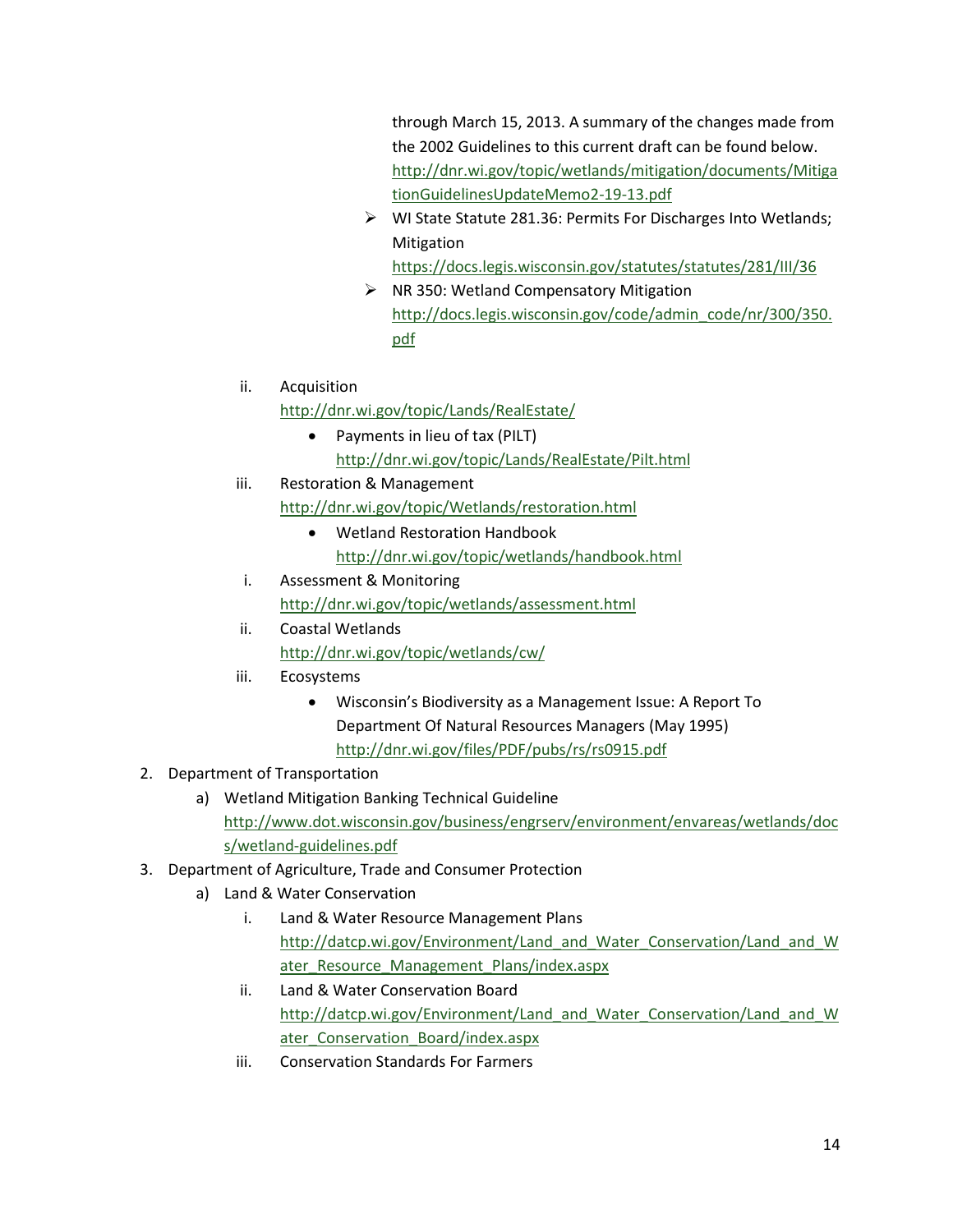through March 15, 2013. A summary of the changes made from the 2002 Guidelines to this current draft can be found below. [http://dnr.wi.gov/topic/wetlands/mitigation/documents/Mitiga](http://dnr.wi.gov/topic/wetlands/mitigation/documents/MitigationGuidelinesUpdateMemo2-19-13.pdf) [tionGuidelinesUpdateMemo2-19-13.pdf](http://dnr.wi.gov/topic/wetlands/mitigation/documents/MitigationGuidelinesUpdateMemo2-19-13.pdf)

▶ WI State Statute 281.36: Permits For Discharges Into Wetlands; Mitigation

<https://docs.legis.wisconsin.gov/statutes/statutes/281/III/36>

- $\triangleright$  NR 350: Wetland Compensatory Mitigation [http://docs.legis.wisconsin.gov/code/admin\\_code/nr/300/350.](http://docs.legis.wisconsin.gov/code/admin_code/nr/300/350.pdf) [pdf](http://docs.legis.wisconsin.gov/code/admin_code/nr/300/350.pdf)
- ii. Acquisition

<http://dnr.wi.gov/topic/Lands/RealEstate/>

- Payments in lieu of tax (PILT) <http://dnr.wi.gov/topic/Lands/RealEstate/Pilt.html>
- iii. Restoration & Management
	- <http://dnr.wi.gov/topic/Wetlands/restoration.html>
		- Wetland Restoration Handbook <http://dnr.wi.gov/topic/wetlands/handbook.html>
- i. Assessment & Monitoring <http://dnr.wi.gov/topic/wetlands/assessment.html>
- ii. Coastal Wetlands <http://dnr.wi.gov/topic/wetlands/cw/>
- iii. Ecosystems
	- Wisconsin's Biodiversity as a Management Issue: A Report To Department Of Natural Resources Managers (May 1995) <http://dnr.wi.gov/files/PDF/pubs/rs/rs0915.pdf>
- 2. Department of Transportation
	- a) Wetland Mitigation Banking Technical Guideline [http://www.dot.wisconsin.gov/business/engrserv/environment/envareas/wetlands/doc](http://www.dot.wisconsin.gov/business/engrserv/environment/envareas/wetlands/docs/wetland-guidelines.pdf) [s/wetland-guidelines.pdf](http://www.dot.wisconsin.gov/business/engrserv/environment/envareas/wetlands/docs/wetland-guidelines.pdf)
- 3. Department of Agriculture, Trade and Consumer Protection
	- a) Land & Water Conservation
		- i. Land & Water Resource Management Plans [http://datcp.wi.gov/Environment/Land\\_and\\_Water\\_Conservation/Land\\_and\\_W](http://datcp.wi.gov/Environment/Land_and_Water_Conservation/Land_and_Water_Resource_Management_Plans/index.aspx) ater Resource Management Plans/index.aspx
		- ii. Land & Water Conservation Board [http://datcp.wi.gov/Environment/Land\\_and\\_Water\\_Conservation/Land\\_and\\_W](http://datcp.wi.gov/Environment/Land_and_Water_Conservation/Land_and_Water_Conservation_Board/index.aspx) ater Conservation Board/index.aspx
		- iii. Conservation Standards For Farmers